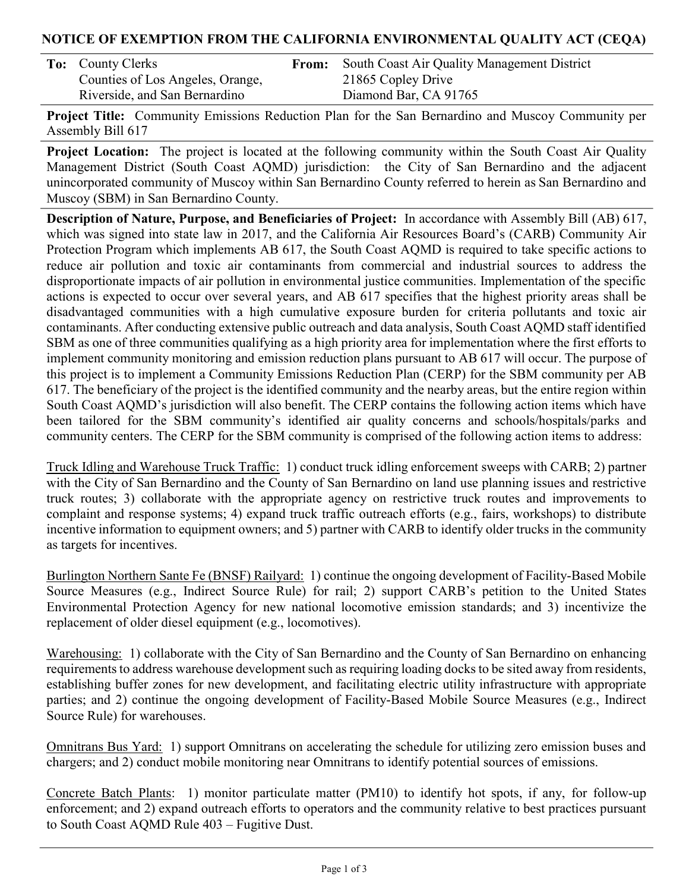# NOTICE OF EXEMPTION FROM THE CALIFORNIA ENVIRONMENTAL QUALITY ACT (CEQA)

| <b>To:</b> County Clerks         |  |  |  |
|----------------------------------|--|--|--|
| Counties of Los Angeles, Orange, |  |  |  |
| Riverside, and San Bernardino    |  |  |  |

From: South Coast Air Quality Management District 21865 Copley Drive Diamond Bar, CA 91765

Project Title: Community Emissions Reduction Plan for the San Bernardino and Muscoy Community per Assembly Bill 617

Project Location: The project is located at the following community within the South Coast Air Quality Management District (South Coast AQMD) jurisdiction: the City of San Bernardino and the adjacent unincorporated community of Muscoy within San Bernardino County referred to herein as San Bernardino and Muscoy (SBM) in San Bernardino County.

Description of Nature, Purpose, and Beneficiaries of Project: In accordance with Assembly Bill (AB) 617, which was signed into state law in 2017, and the California Air Resources Board's (CARB) Community Air Protection Program which implements AB 617, the South Coast AQMD is required to take specific actions to reduce air pollution and toxic air contaminants from commercial and industrial sources to address the disproportionate impacts of air pollution in environmental justice communities. Implementation of the specific actions is expected to occur over several years, and AB 617 specifies that the highest priority areas shall be disadvantaged communities with a high cumulative exposure burden for criteria pollutants and toxic air contaminants. After conducting extensive public outreach and data analysis, South Coast AQMD staff identified SBM as one of three communities qualifying as a high priority area for implementation where the first efforts to implement community monitoring and emission reduction plans pursuant to AB 617 will occur. The purpose of this project is to implement a Community Emissions Reduction Plan (CERP) for the SBM community per AB 617. The beneficiary of the project is the identified community and the nearby areas, but the entire region within South Coast AQMD's jurisdiction will also benefit. The CERP contains the following action items which have been tailored for the SBM community's identified air quality concerns and schools/hospitals/parks and community centers. The CERP for the SBM community is comprised of the following action items to address:

Truck Idling and Warehouse Truck Traffic: 1) conduct truck idling enforcement sweeps with CARB; 2) partner with the City of San Bernardino and the County of San Bernardino on land use planning issues and restrictive truck routes; 3) collaborate with the appropriate agency on restrictive truck routes and improvements to complaint and response systems; 4) expand truck traffic outreach efforts (e.g., fairs, workshops) to distribute incentive information to equipment owners; and 5) partner with CARB to identify older trucks in the community as targets for incentives.

Burlington Northern Sante Fe (BNSF) Railyard: 1) continue the ongoing development of Facility-Based Mobile Source Measures (e.g., Indirect Source Rule) for rail; 2) support CARB's petition to the United States Environmental Protection Agency for new national locomotive emission standards; and 3) incentivize the replacement of older diesel equipment (e.g., locomotives).

Warehousing: 1) collaborate with the City of San Bernardino and the County of San Bernardino on enhancing requirements to address warehouse development such as requiring loading docks to be sited away from residents, establishing buffer zones for new development, and facilitating electric utility infrastructure with appropriate parties; and 2) continue the ongoing development of Facility-Based Mobile Source Measures (e.g., Indirect Source Rule) for warehouses.

Omnitrans Bus Yard: 1) support Omnitrans on accelerating the schedule for utilizing zero emission buses and chargers; and 2) conduct mobile monitoring near Omnitrans to identify potential sources of emissions.

Concrete Batch Plants: 1) monitor particulate matter (PM10) to identify hot spots, if any, for follow-up enforcement; and 2) expand outreach efforts to operators and the community relative to best practices pursuant to South Coast AQMD Rule 403 – Fugitive Dust.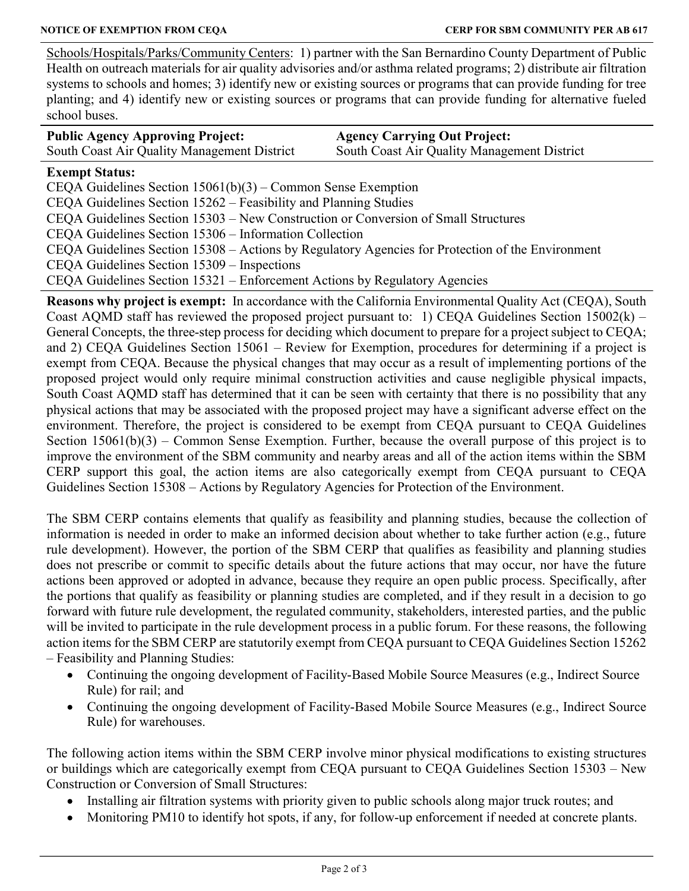Schools/Hospitals/Parks/Community Centers: 1) partner with the San Bernardino County Department of Public Health on outreach materials for air quality advisories and/or asthma related programs; 2) distribute air filtration systems to schools and homes; 3) identify new or existing sources or programs that can provide funding for tree planting; and 4) identify new or existing sources or programs that can provide funding for alternative fueled school buses.

| <b>Public Agency Approving Project:</b>     | <b>Agency Carrying Out Project:</b>         |
|---------------------------------------------|---------------------------------------------|
| South Coast Air Quality Management District | South Coast Air Quality Management District |

## Exempt Status:

CEQA Guidelines Section 15061(b)(3) – Common Sense Exemption

CEQA Guidelines Section 15262 – Feasibility and Planning Studies

CEQA Guidelines Section 15303 – New Construction or Conversion of Small Structures

CEQA Guidelines Section 15306 – Information Collection

CEQA Guidelines Section 15308 – Actions by Regulatory Agencies for Protection of the Environment

CEQA Guidelines Section 15309 – Inspections

CEQA Guidelines Section 15321 – Enforcement Actions by Regulatory Agencies

Reasons why project is exempt: In accordance with the California Environmental Quality Act (CEQA), South Coast AQMD staff has reviewed the proposed project pursuant to: 1) CEQA Guidelines Section 15002(k) – General Concepts, the three-step process for deciding which document to prepare for a project subject to CEQA; and 2) CEQA Guidelines Section 15061 – Review for Exemption, procedures for determining if a project is exempt from CEQA. Because the physical changes that may occur as a result of implementing portions of the proposed project would only require minimal construction activities and cause negligible physical impacts, South Coast AQMD staff has determined that it can be seen with certainty that there is no possibility that any physical actions that may be associated with the proposed project may have a significant adverse effect on the environment. Therefore, the project is considered to be exempt from CEQA pursuant to CEQA Guidelines Section 15061(b)(3) – Common Sense Exemption. Further, because the overall purpose of this project is to improve the environment of the SBM community and nearby areas and all of the action items within the SBM CERP support this goal, the action items are also categorically exempt from CEQA pursuant to CEQA Guidelines Section 15308 – Actions by Regulatory Agencies for Protection of the Environment.

The SBM CERP contains elements that qualify as feasibility and planning studies, because the collection of information is needed in order to make an informed decision about whether to take further action (e.g., future rule development). However, the portion of the SBM CERP that qualifies as feasibility and planning studies does not prescribe or commit to specific details about the future actions that may occur, nor have the future actions been approved or adopted in advance, because they require an open public process. Specifically, after the portions that qualify as feasibility or planning studies are completed, and if they result in a decision to go forward with future rule development, the regulated community, stakeholders, interested parties, and the public will be invited to participate in the rule development process in a public forum. For these reasons, the following action items for the SBM CERP are statutorily exempt from CEQA pursuant to CEQA Guidelines Section 15262

– Feasibility and Planning Studies:

- Continuing the ongoing development of Facility-Based Mobile Source Measures (e.g., Indirect Source Rule) for rail; and
- Continuing the ongoing development of Facility-Based Mobile Source Measures (e.g., Indirect Source Rule) for warehouses.

The following action items within the SBM CERP involve minor physical modifications to existing structures or buildings which are categorically exempt from CEQA pursuant to CEQA Guidelines Section 15303 – New Construction or Conversion of Small Structures:

- Installing air filtration systems with priority given to public schools along major truck routes; and
- Monitoring PM10 to identify hot spots, if any, for follow-up enforcement if needed at concrete plants.